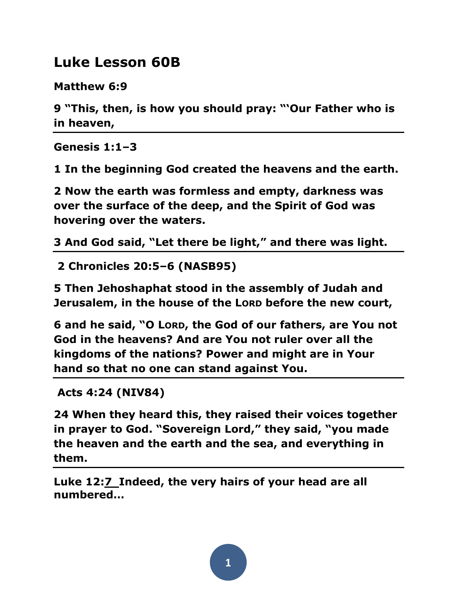## **Luke Lesson 60B**

**Matthew 6:9**

**9 "This, then, is how you should pray: "'Our Father who is in heaven,**

**Genesis 1:1–3** 

**1 In the beginning God created the heavens and the earth.** 

**2 Now the earth was formless and empty, darkness was over the surface of the deep, and the Spirit of God was hovering over the waters.** 

**3 And God said, "Let there be light," and there was light.**

**2 Chronicles 20:5–6 (NASB95)**

**5 Then Jehoshaphat stood in the assembly of Judah and Jerusalem, in the house of the LORD before the new court,** 

**6 and he said, "O LORD, the God of our fathers, are You not God in the heavens? And are You not ruler over all the kingdoms of the nations? Power and might are in Your hand so that no one can stand against You.**

**Acts 4:24 (NIV84)**

**24 When they heard this, they raised their voices together in prayer to God. "Sovereign Lord," they said, "you made the heaven and the earth and the sea, and everything in them.** 

**Luke 12:7 Indeed, the very hairs of your head are all numbered…**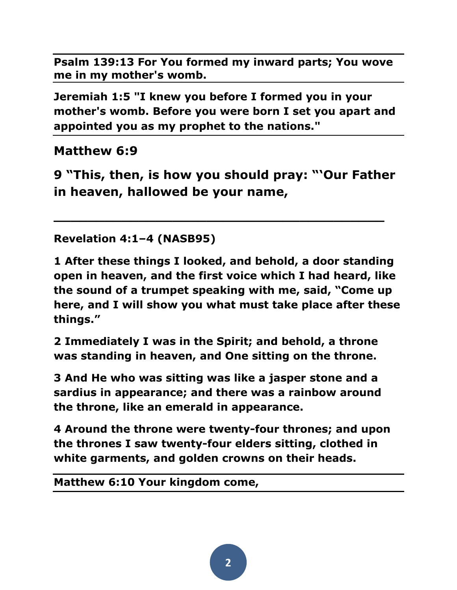**Psalm 139:13 For You formed my inward parts; You wove me in my mother's womb.**

**Jeremiah 1:5 "I knew you before I formed you in your mother's womb. Before you were born I set you apart and appointed you as my prophet to the nations."**

**Matthew 6:9** 

**9 "This, then, is how you should pray: "'Our Father in heaven, hallowed be your name,** 

**\_\_\_\_\_\_\_\_\_\_\_\_\_\_\_\_\_\_\_\_\_\_\_\_\_\_\_\_\_\_\_\_\_\_\_\_\_\_\_**

**Revelation 4:1–4 (NASB95)**

**1 After these things I looked, and behold, a door standing open in heaven, and the first voice which I had heard, like the sound of a trumpet speaking with me, said, "Come up here, and I will show you what must take place after these things."** 

**2 Immediately I was in the Spirit; and behold, a throne was standing in heaven, and One sitting on the throne.** 

**3 And He who was sitting was like a jasper stone and a sardius in appearance; and there was a rainbow around the throne, like an emerald in appearance.** 

**4 Around the throne were twenty-four thrones; and upon the thrones I saw twenty-four elders sitting, clothed in white garments, and golden crowns on their heads.** 

**Matthew 6:10 Your kingdom come,**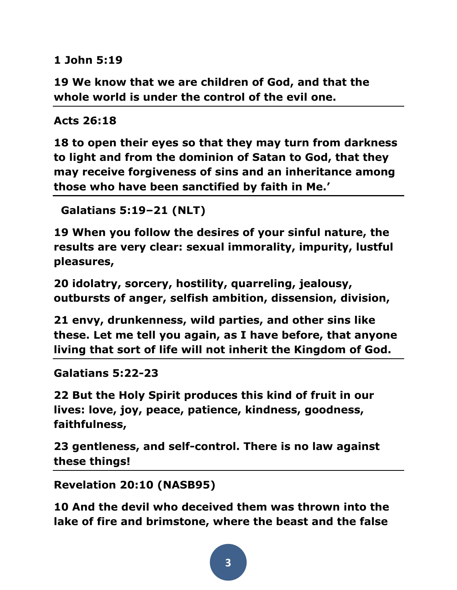**1 John 5:19** 

**19 We know that we are children of God, and that the whole world is under the control of the evil one.** 

## **Acts 26:18**

**18 to open their eyes so that they may turn from darkness to light and from the dominion of Satan to God, that they may receive forgiveness of sins and an inheritance among those who have been sanctified by faith in Me.'**

```
Galatians 5:19–21 (NLT)
```
**19 When you follow the desires of your sinful nature, the results are very clear: sexual immorality, impurity, lustful pleasures,** 

**20 idolatry, sorcery, hostility, quarreling, jealousy, outbursts of anger, selfish ambition, dissension, division,** 

**21 envy, drunkenness, wild parties, and other sins like these. Let me tell you again, as I have before, that anyone living that sort of life will not inherit the Kingdom of God.** 

**Galatians 5:22-23**

**22 But the Holy Spirit produces this kind of fruit in our lives: love, joy, peace, patience, kindness, goodness, faithfulness,** 

**23 gentleness, and self-control. There is no law against these things!** 

**Revelation 20:10 (NASB95)**

**10 And the devil who deceived them was thrown into the lake of fire and brimstone, where the beast and the false**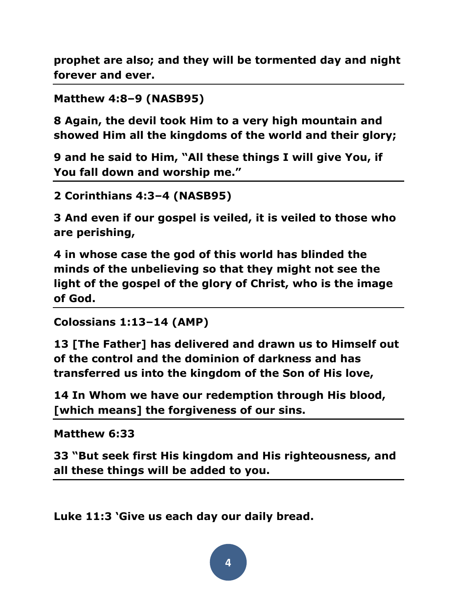**prophet are also; and they will be tormented day and night forever and ever.** 

```
Matthew 4:8–9 (NASB95)
```
**8 Again, the devil took Him to a very high mountain and showed Him all the kingdoms of the world and their glory;** 

**9 and he said to Him, "All these things I will give You, if You fall down and worship me."** 

## **2 Corinthians 4:3–4 (NASB95)**

**3 And even if our gospel is veiled, it is veiled to those who are perishing,** 

**4 in whose case the god of this world has blinded the minds of the unbelieving so that they might not see the light of the gospel of the glory of Christ, who is the image of God.** 

**Colossians 1:13–14 (AMP)**

**13 [The Father] has delivered and drawn us to Himself out of the control and the dominion of darkness and has transferred us into the kingdom of the Son of His love,** 

**14 In Whom we have our redemption through His blood, [which means] the forgiveness of our sins.** 

**Matthew 6:33**

**33 "But seek first His kingdom and His righteousness, and all these things will be added to you.**

**Luke 11:3 'Give us each day our daily bread.**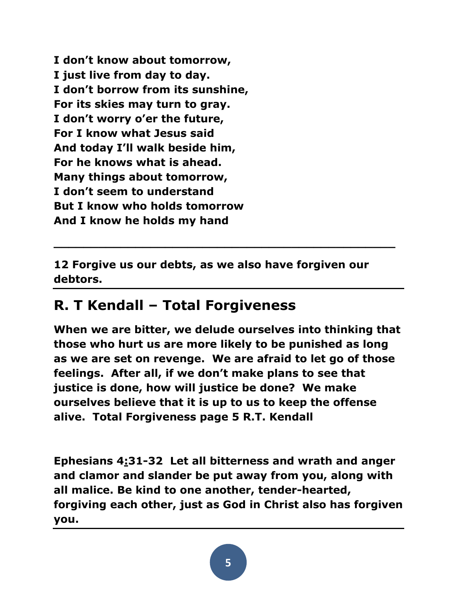**I don't know about tomorrow, I just live from day to day. I don't borrow from its sunshine, For its skies may turn to gray. I don't worry o'er the future, For I know what Jesus said And today I'll walk beside him, For he knows what is ahead. Many things about tomorrow, I don't seem to understand But I know who holds tomorrow And I know he holds my hand**

**12 Forgive us our debts, as we also have forgiven our debtors.** 

**\_\_\_\_\_\_\_\_\_\_\_\_\_\_\_\_\_\_\_\_\_\_\_\_\_\_\_\_\_\_\_\_\_\_\_\_\_\_\_\_\_\_\_\_\_\_**

## **R. T Kendall – Total Forgiveness**

**When we are bitter, we delude ourselves into thinking that those who hurt us are more likely to be punished as long as we are set on revenge. We are afraid to let go of those feelings. After all, if we don't make plans to see that justice is done, how will justice be done? We make ourselves believe that it is up to us to keep the offense alive. Total Forgiveness page 5 R.T. Kendall**

**Ephesians 4:31-32 Let all bitterness and wrath and anger and clamor and slander be put away from you, along with all malice. Be kind to one another, tender-hearted, forgiving each other, just as God in Christ also has forgiven you.**